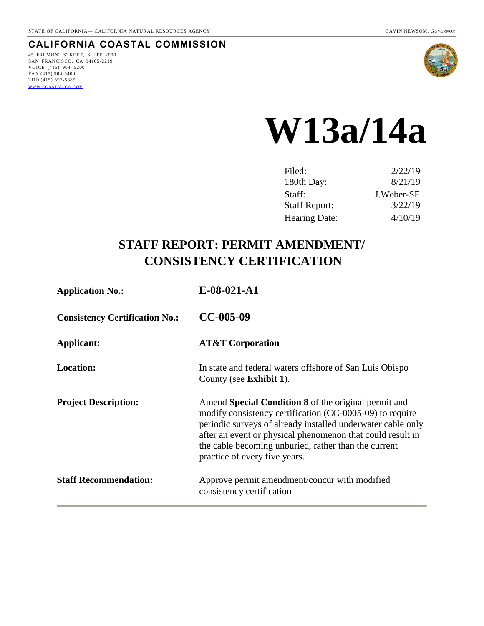### **CALIFORNIA COASTAL COMMISSION**

45 FREMONT STREET, SUITE 2000 SAN FRANCISCO, CA 94105-2219 VOICE (415) 904- 5200 FAX (415) 904-5400 TDD (415) 597-5885 WWW.[COASTAL](http://www.coastal.ca.gov/).CA.GOV



# **W13a/14a**

| Filed:               | 2/22/19    |
|----------------------|------------|
| 180th Day:           | 8/21/19    |
| Staff:               | J.Weber-SF |
| <b>Staff Report:</b> | 3/22/19    |
| <b>Hearing Date:</b> | 4/10/19    |

# **STAFF REPORT: PERMIT AMENDMENT/ CONSISTENCY CERTIFICATION**

| <b>Application No.:</b>               | $E-08-021-A1$                                                                                                                                                                                                                                                                                                                          |
|---------------------------------------|----------------------------------------------------------------------------------------------------------------------------------------------------------------------------------------------------------------------------------------------------------------------------------------------------------------------------------------|
| <b>Consistency Certification No.:</b> | $CC-005-09$                                                                                                                                                                                                                                                                                                                            |
| Applicant:                            | <b>AT&amp;T Corporation</b>                                                                                                                                                                                                                                                                                                            |
| <b>Location:</b>                      | In state and federal waters offshore of San Luis Obispo<br>County (see <b>Exhibit 1</b> ).                                                                                                                                                                                                                                             |
| <b>Project Description:</b>           | Amend Special Condition 8 of the original permit and<br>modify consistency certification (CC-0005-09) to require<br>periodic surveys of already installed underwater cable only<br>after an event or physical phenomenon that could result in<br>the cable becoming unburied, rather than the current<br>practice of every five years. |
| <b>Staff Recommendation:</b>          | Approve permit amendment/concur with modified<br>consistency certification                                                                                                                                                                                                                                                             |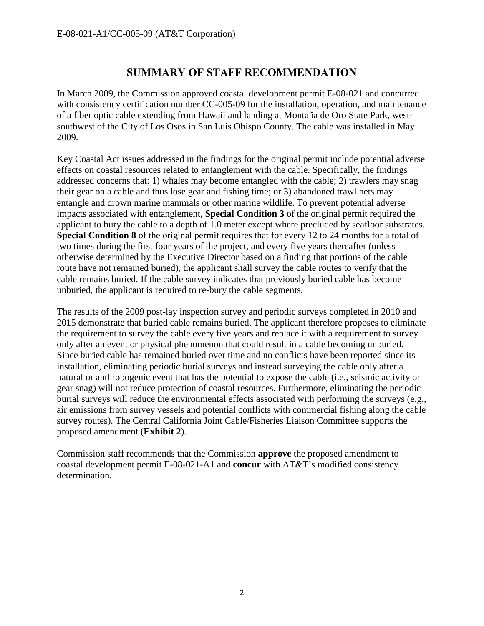# **SUMMARY OF STAFF RECOMMENDATION**

In March 2009, the Commission approved coastal development permit E-08-021 and concurred with consistency certification number CC-005-09 for the installation, operation, and maintenance of a fiber optic cable extending from Hawaii and landing at Montaña de Oro State Park, westsouthwest of the City of Los Osos in San Luis Obispo County. The cable was installed in May 2009.

Key Coastal Act issues addressed in the findings for the original permit include potential adverse effects on coastal resources related to entanglement with the cable. Specifically, the findings addressed concerns that: 1) whales may become entangled with the cable; 2) trawlers may snag their gear on a cable and thus lose gear and fishing time; or 3) abandoned trawl nets may entangle and drown marine mammals or other marine wildlife. To prevent potential adverse impacts associated with entanglement, **Special Condition 3** of the original permit required the applicant to bury the cable to a depth of 1.0 meter except where precluded by seafloor substrates. **Special Condition 8** of the original permit requires that for every 12 to 24 months for a total of two times during the first four years of the project, and every five years thereafter (unless otherwise determined by the Executive Director based on a finding that portions of the cable route have not remained buried), the applicant shall survey the cable routes to verify that the cable remains buried. If the cable survey indicates that previously buried cable has become unburied, the applicant is required to re-bury the cable segments.

The results of the 2009 post-lay inspection survey and periodic surveys completed in 2010 and 2015 demonstrate that buried cable remains buried. The applicant therefore proposes to eliminate the requirement to survey the cable every five years and replace it with a requirement to survey only after an event or physical phenomenon that could result in a cable becoming unburied. Since buried cable has remained buried over time and no conflicts have been reported since its installation, eliminating periodic burial surveys and instead surveying the cable only after a natural or anthropogenic event that has the potential to expose the cable (i.e., seismic activity or gear snag) will not reduce protection of coastal resources. Furthermore, eliminating the periodic burial surveys will reduce the environmental effects associated with performing the surveys (e.g., air emissions from survey vessels and potential conflicts with commercial fishing along the cable survey routes). The Central California Joint Cable/Fisheries Liaison Committee supports the proposed amendment (**Exhibit 2**).

Commission staff recommends that the Commission **approve** the proposed amendment to coastal development permit E-08-021-A1 and **concur** with AT&T's modified consistency determination.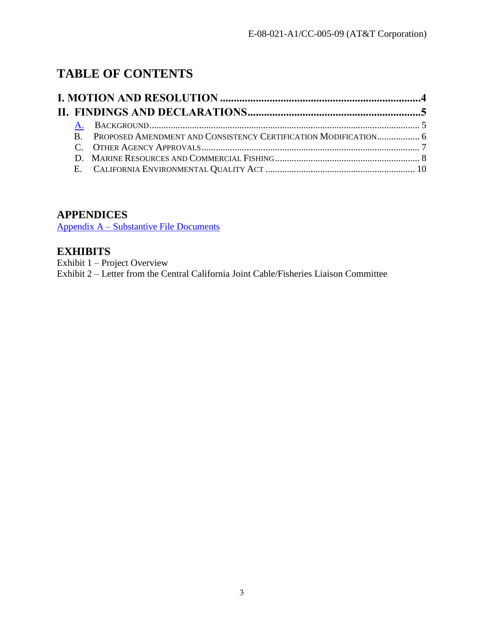# **TABLE OF CONTENTS**

|  |  | B. PROPOSED AMENDMENT AND CONSISTENCY CERTIFICATION MODIFICATION 6 |  |
|--|--|--------------------------------------------------------------------|--|
|  |  |                                                                    |  |
|  |  |                                                                    |  |
|  |  |                                                                    |  |

# **APPENDICES**

Appendix A – Substantive File Documents

# **EXHIBITS**

Exhibit 1 – Project Overview Exhibit 2 – Letter from the Central California Joint Cable/Fisheries Liaison Committee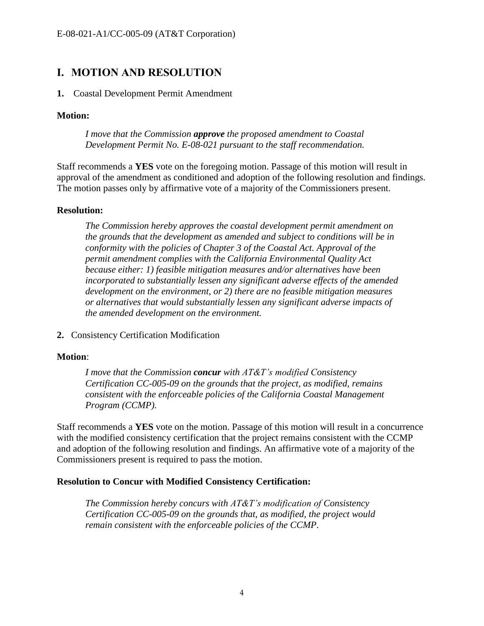# <span id="page-3-0"></span>**I. MOTION AND RESOLUTION**

#### **1.** Coastal Development Permit Amendment

#### **Motion:**

*I move that the Commission approve the proposed amendment to Coastal Development Permit No. E-08-021 pursuant to the staff recommendation.*

Staff recommends a **YES** vote on the foregoing motion. Passage of this motion will result in approval of the amendment as conditioned and adoption of the following resolution and findings. The motion passes only by affirmative vote of a majority of the Commissioners present.

#### **Resolution:**

*The Commission hereby approves the coastal development permit amendment on the grounds that the development as amended and subject to conditions will be in conformity with the policies of Chapter 3 of the Coastal Act. Approval of the permit amendment complies with the California Environmental Quality Act because either: 1) feasible mitigation measures and/or alternatives have been incorporated to substantially lessen any significant adverse effects of the amended development on the environment, or 2) there are no feasible mitigation measures or alternatives that would substantially lessen any significant adverse impacts of the amended development on the environment.*

**2.** Consistency Certification Modification

#### **Motion**:

*I move that the Commission concur with AT&T's modified Consistency Certification CC-005-09 on the grounds that the project, as modified, remains consistent with the enforceable policies of the California Coastal Management Program (CCMP).*

Staff recommends a **YES** vote on the motion. Passage of this motion will result in a concurrence with the modified consistency certification that the project remains consistent with the CCMP and adoption of the following resolution and findings. An affirmative vote of a majority of the Commissioners present is required to pass the motion.

#### **Resolution to Concur with Modified Consistency Certification:**

*The Commission hereby concurs with AT&T's modification of Consistency Certification CC-005-09 on the grounds that, as modified, the project would remain consistent with the enforceable policies of the CCMP.*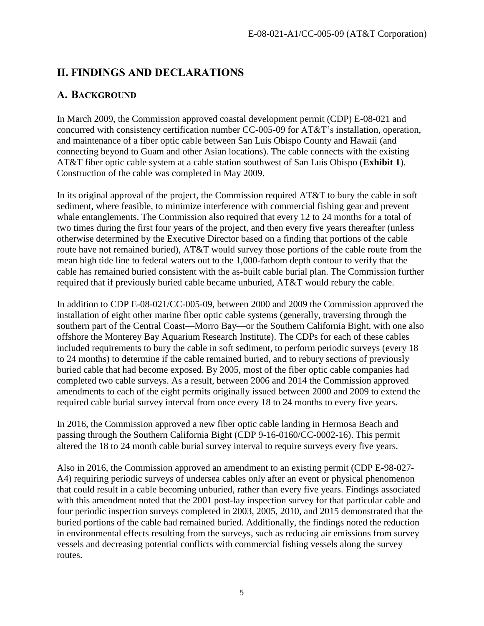# <span id="page-4-0"></span>**II. FINDINGS AND DECLARATIONS**

# <span id="page-4-1"></span>**A. BACKGROUND**

In March 2009, the Commission approved coastal development permit (CDP) E-08-021 and concurred with consistency certification number CC-005-09 for AT&T's installation, operation, and maintenance of a fiber optic cable between San Luis Obispo County and Hawaii (and connecting beyond to Guam and other Asian locations). The cable connects with the existing AT&T fiber optic cable system at a cable station southwest of San Luis Obispo (**Exhibit 1**). Construction of the cable was completed in May 2009.

In its original approval of the project, the Commission required AT&T to bury the cable in soft sediment, where feasible, to minimize interference with commercial fishing gear and prevent whale entanglements. The Commission also required that every 12 to 24 months for a total of two times during the first four years of the project, and then every five years thereafter (unless otherwise determined by the Executive Director based on a finding that portions of the cable route have not remained buried), AT&T would survey those portions of the cable route from the mean high tide line to federal waters out to the 1,000-fathom depth contour to verify that the cable has remained buried consistent with the as-built cable burial plan. The Commission further required that if previously buried cable became unburied, AT&T would rebury the cable.

In addition to CDP E-08-021/CC-005-09, between 2000 and 2009 the Commission approved the installation of eight other marine fiber optic cable systems (generally, traversing through the southern part of the Central Coast—Morro Bay—or the Southern California Bight, with one also offshore the Monterey Bay Aquarium Research Institute). The CDPs for each of these cables included requirements to bury the cable in soft sediment, to perform periodic surveys (every 18 to 24 months) to determine if the cable remained buried, and to rebury sections of previously buried cable that had become exposed. By 2005, most of the fiber optic cable companies had completed two cable surveys. As a result, between 2006 and 2014 the Commission approved amendments to each of the eight permits originally issued between 2000 and 2009 to extend the required cable burial survey interval from once every 18 to 24 months to every five years.

In 2016, the Commission approved a new fiber optic cable landing in Hermosa Beach and passing through the Southern California Bight (CDP 9-16-0160/CC-0002-16). This permit altered the 18 to 24 month cable burial survey interval to require surveys every five years.

Also in 2016, the Commission approved an amendment to an existing permit (CDP E-98-027- A4) requiring periodic surveys of undersea cables only after an event or physical phenomenon that could result in a cable becoming unburied, rather than every five years. Findings associated with this amendment noted that the 2001 post-lay inspection survey for that particular cable and four periodic inspection surveys completed in 2003, 2005, 2010, and 2015 demonstrated that the buried portions of the cable had remained buried. Additionally, the findings noted the reduction in environmental effects resulting from the surveys, such as reducing air emissions from survey vessels and decreasing potential conflicts with commercial fishing vessels along the survey routes.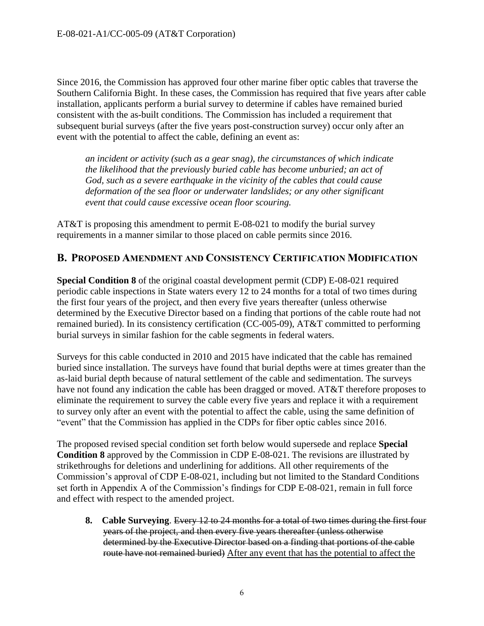Since 2016, the Commission has approved four other marine fiber optic cables that traverse the Southern California Bight. In these cases, the Commission has required that five years after cable installation, applicants perform a burial survey to determine if cables have remained buried consistent with the as-built conditions. The Commission has included a requirement that subsequent burial surveys (after the five years post-construction survey) occur only after an event with the potential to affect the cable, defining an event as:

*an incident or activity (such as a gear snag), the circumstances of which indicate the likelihood that the previously buried cable has become unburied; an act of God, such as a severe earthquake in the vicinity of the cables that could cause deformation of the sea floor or underwater landslides; or any other significant event that could cause excessive ocean floor scouring.* 

AT&T is proposing this amendment to permit E-08-021 to modify the burial survey requirements in a manner similar to those placed on cable permits since 2016.

## <span id="page-5-0"></span>**B. PROPOSED AMENDMENT AND CONSISTENCY CERTIFICATION MODIFICATION**

**Special Condition 8** of the original coastal development permit (CDP) E-08-021 required periodic cable inspections in State waters every 12 to 24 months for a total of two times during the first four years of the project, and then every five years thereafter (unless otherwise determined by the Executive Director based on a finding that portions of the cable route had not remained buried). In its consistency certification (CC-005-09), AT&T committed to performing burial surveys in similar fashion for the cable segments in federal waters.

Surveys for this cable conducted in 2010 and 2015 have indicated that the cable has remained buried since installation. The surveys have found that burial depths were at times greater than the as-laid burial depth because of natural settlement of the cable and sedimentation. The surveys have not found any indication the cable has been dragged or moved. AT&T therefore proposes to eliminate the requirement to survey the cable every five years and replace it with a requirement to survey only after an event with the potential to affect the cable, using the same definition of "event" that the Commission has applied in the CDPs for fiber optic cables since 2016.

The proposed revised special condition set forth below would supersede and replace **Special Condition 8** approved by the Commission in CDP E-08-021. The revisions are illustrated by strikethroughs for deletions and underlining for additions. All other requirements of the Commission's approval of CDP E-08-021, including but not limited to the Standard Conditions set forth in Appendix A of the Commission's findings for CDP E-08-021, remain in full force and effect with respect to the amended project.

**8. Cable Surveying**. Every 12 to 24 months for a total of two times during the first four years of the project, and then every five years thereafter (unless otherwise determined by the Executive Director based on a finding that portions of the cable route have not remained buried) After any event that has the potential to affect the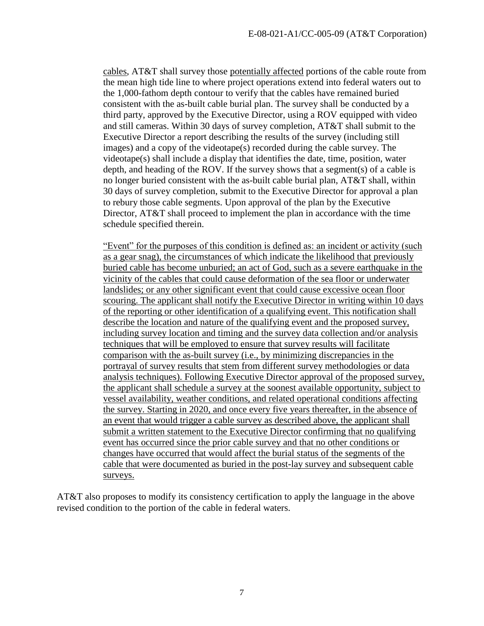cables, AT&T shall survey those potentially affected portions of the cable route from the mean high tide line to where project operations extend into federal waters out to the 1,000-fathom depth contour to verify that the cables have remained buried consistent with the as-built cable burial plan. The survey shall be conducted by a third party, approved by the Executive Director, using a ROV equipped with video and still cameras. Within 30 days of survey completion, AT&T shall submit to the Executive Director a report describing the results of the survey (including still images) and a copy of the videotape(s) recorded during the cable survey. The videotape(s) shall include a display that identifies the date, time, position, water depth, and heading of the ROV. If the survey shows that a segment(s) of a cable is no longer buried consistent with the as-built cable burial plan, AT&T shall, within 30 days of survey completion, submit to the Executive Director for approval a plan to rebury those cable segments. Upon approval of the plan by the Executive Director, AT&T shall proceed to implement the plan in accordance with the time schedule specified therein.

"Event" for the purposes of this condition is defined as: an incident or activity (such as a gear snag), the circumstances of which indicate the likelihood that previously buried cable has become unburied; an act of God, such as a severe earthquake in the vicinity of the cables that could cause deformation of the sea floor or underwater landslides; or any other significant event that could cause excessive ocean floor scouring. The applicant shall notify the Executive Director in writing within 10 days of the reporting or other identification of a qualifying event. This notification shall describe the location and nature of the qualifying event and the proposed survey, including survey location and timing and the survey data collection and/or analysis techniques that will be employed to ensure that survey results will facilitate comparison with the as-built survey (i.e., by minimizing discrepancies in the portrayal of survey results that stem from different survey methodologies or data analysis techniques). Following Executive Director approval of the proposed survey, the applicant shall schedule a survey at the soonest available opportunity, subject to vessel availability, weather conditions, and related operational conditions affecting the survey. Starting in 2020, and once every five years thereafter, in the absence of an event that would trigger a cable survey as described above, the applicant shall submit a written statement to the Executive Director confirming that no qualifying event has occurred since the prior cable survey and that no other conditions or changes have occurred that would affect the burial status of the segments of the cable that were documented as buried in the post-lay survey and subsequent cable surveys.

AT&T also proposes to modify its consistency certification to apply the language in the above revised condition to the portion of the cable in federal waters.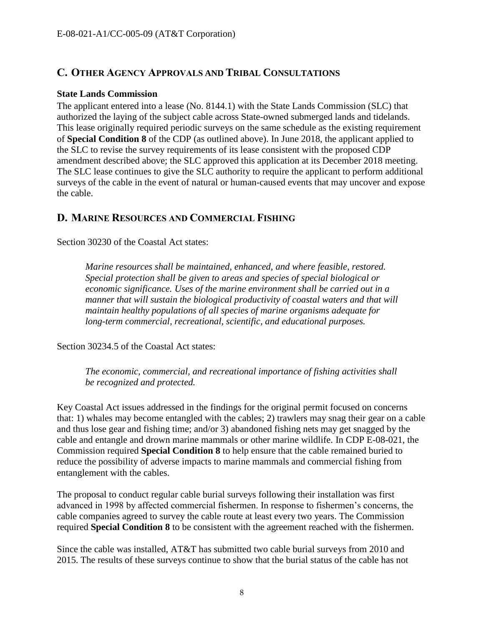# <span id="page-7-0"></span>**C. OTHER AGENCY APPROVALS AND TRIBAL CONSULTATIONS**

#### **State Lands Commission**

The applicant entered into a lease (No. 8144.1) with the State Lands Commission (SLC) that authorized the laying of the subject cable across State-owned submerged lands and tidelands. This lease originally required periodic surveys on the same schedule as the existing requirement of **Special Condition 8** of the CDP (as outlined above). In June 2018, the applicant applied to the SLC to revise the survey requirements of its lease consistent with the proposed CDP amendment described above; the SLC approved this application at its December 2018 meeting. The SLC lease continues to give the SLC authority to require the applicant to perform additional surveys of the cable in the event of natural or human-caused events that may uncover and expose the cable.

## <span id="page-7-1"></span>**D. MARINE RESOURCES AND COMMERCIAL FISHING**

Section 30230 of the Coastal Act states:

*Marine resources shall be maintained, enhanced, and where feasible, restored. Special protection shall be given to areas and species of special biological or economic significance. Uses of the marine environment shall be carried out in a manner that will sustain the biological productivity of coastal waters and that will maintain healthy populations of all species of marine organisms adequate for long-term commercial, recreational, scientific, and educational purposes.*

Section 30234.5 of the Coastal Act states:

*The economic, commercial, and recreational importance of fishing activities shall be recognized and protected.*

Key Coastal Act issues addressed in the findings for the original permit focused on concerns that: 1) whales may become entangled with the cables; 2) trawlers may snag their gear on a cable and thus lose gear and fishing time; and/or 3) abandoned fishing nets may get snagged by the cable and entangle and drown marine mammals or other marine wildlife. In CDP E-08-021, the Commission required **Special Condition 8** to help ensure that the cable remained buried to reduce the possibility of adverse impacts to marine mammals and commercial fishing from entanglement with the cables.

The proposal to conduct regular cable burial surveys following their installation was first advanced in 1998 by affected commercial fishermen. In response to fishermen's concerns, the cable companies agreed to survey the cable route at least every two years. The Commission required **Special Condition 8** to be consistent with the agreement reached with the fishermen.

Since the cable was installed, AT&T has submitted two cable burial surveys from 2010 and 2015. The results of these surveys continue to show that the burial status of the cable has not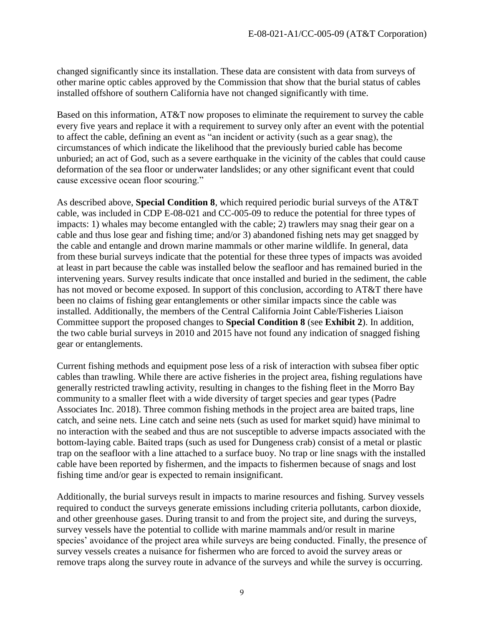changed significantly since its installation. These data are consistent with data from surveys of other marine optic cables approved by the Commission that show that the burial status of cables installed offshore of southern California have not changed significantly with time.

Based on this information, AT&T now proposes to eliminate the requirement to survey the cable every five years and replace it with a requirement to survey only after an event with the potential to affect the cable, defining an event as "an incident or activity (such as a gear snag), the circumstances of which indicate the likelihood that the previously buried cable has become unburied; an act of God, such as a severe earthquake in the vicinity of the cables that could cause deformation of the sea floor or underwater landslides; or any other significant event that could cause excessive ocean floor scouring."

As described above, **Special Condition 8**, which required periodic burial surveys of the AT&T cable, was included in CDP E-08-021 and CC-005-09 to reduce the potential for three types of impacts: 1) whales may become entangled with the cable; 2) trawlers may snag their gear on a cable and thus lose gear and fishing time; and/or 3) abandoned fishing nets may get snagged by the cable and entangle and drown marine mammals or other marine wildlife. In general, data from these burial surveys indicate that the potential for these three types of impacts was avoided at least in part because the cable was installed below the seafloor and has remained buried in the intervening years. Survey results indicate that once installed and buried in the sediment, the cable has not moved or become exposed. In support of this conclusion, according to AT&T there have been no claims of fishing gear entanglements or other similar impacts since the cable was installed. Additionally, the members of the Central California Joint Cable/Fisheries Liaison Committee support the proposed changes to **Special Condition 8** (see **Exhibit 2**). In addition, the two cable burial surveys in 2010 and 2015 have not found any indication of snagged fishing gear or entanglements.

Current fishing methods and equipment pose less of a risk of interaction with subsea fiber optic cables than trawling. While there are active fisheries in the project area, fishing regulations have generally restricted trawling activity, resulting in changes to the fishing fleet in the Morro Bay community to a smaller fleet with a wide diversity of target species and gear types (Padre Associates Inc. 2018). Three common fishing methods in the project area are baited traps, line catch, and seine nets. Line catch and seine nets (such as used for market squid) have minimal to no interaction with the seabed and thus are not susceptible to adverse impacts associated with the bottom-laying cable. Baited traps (such as used for Dungeness crab) consist of a metal or plastic trap on the seafloor with a line attached to a surface buoy. No trap or line snags with the installed cable have been reported by fishermen, and the impacts to fishermen because of snags and lost fishing time and/or gear is expected to remain insignificant.

Additionally, the burial surveys result in impacts to marine resources and fishing. Survey vessels required to conduct the surveys generate emissions including criteria pollutants, carbon dioxide, and other greenhouse gases. During transit to and from the project site, and during the surveys, survey vessels have the potential to collide with marine mammals and/or result in marine species' avoidance of the project area while surveys are being conducted. Finally, the presence of survey vessels creates a nuisance for fishermen who are forced to avoid the survey areas or remove traps along the survey route in advance of the surveys and while the survey is occurring.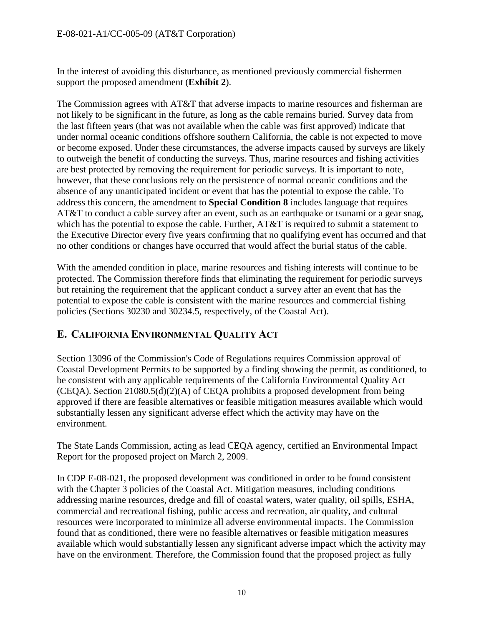In the interest of avoiding this disturbance, as mentioned previously commercial fishermen support the proposed amendment (**Exhibit 2**).

The Commission agrees with AT&T that adverse impacts to marine resources and fisherman are not likely to be significant in the future, as long as the cable remains buried. Survey data from the last fifteen years (that was not available when the cable was first approved) indicate that under normal oceanic conditions offshore southern California, the cable is not expected to move or become exposed. Under these circumstances, the adverse impacts caused by surveys are likely to outweigh the benefit of conducting the surveys. Thus, marine resources and fishing activities are best protected by removing the requirement for periodic surveys. It is important to note, however, that these conclusions rely on the persistence of normal oceanic conditions and the absence of any unanticipated incident or event that has the potential to expose the cable. To address this concern, the amendment to **Special Condition 8** includes language that requires AT&T to conduct a cable survey after an event, such as an earthquake or tsunami or a gear snag, which has the potential to expose the cable. Further, AT&T is required to submit a statement to the Executive Director every five years confirming that no qualifying event has occurred and that no other conditions or changes have occurred that would affect the burial status of the cable.

With the amended condition in place, marine resources and fishing interests will continue to be protected. The Commission therefore finds that eliminating the requirement for periodic surveys but retaining the requirement that the applicant conduct a survey after an event that has the potential to expose the cable is consistent with the marine resources and commercial fishing policies (Sections 30230 and 30234.5, respectively, of the Coastal Act).

# <span id="page-9-0"></span>**E. CALIFORNIA ENVIRONMENTAL QUALITY ACT**

Section 13096 of the Commission's Code of Regulations requires Commission approval of Coastal Development Permits to be supported by a finding showing the permit, as conditioned, to be consistent with any applicable requirements of the California Environmental Quality Act (CEQA). Section 21080.5(d)(2)(A) of CEQA prohibits a proposed development from being approved if there are feasible alternatives or feasible mitigation measures available which would substantially lessen any significant adverse effect which the activity may have on the environment.

The State Lands Commission, acting as lead CEQA agency, certified an Environmental Impact Report for the proposed project on March 2, 2009.

In CDP E-08-021, the proposed development was conditioned in order to be found consistent with the Chapter 3 policies of the Coastal Act. Mitigation measures, including conditions addressing marine resources, dredge and fill of coastal waters, water quality, oil spills, ESHA, commercial and recreational fishing, public access and recreation, air quality, and cultural resources were incorporated to minimize all adverse environmental impacts. The Commission found that as conditioned, there were no feasible alternatives or feasible mitigation measures available which would substantially lessen any significant adverse impact which the activity may have on the environment. Therefore, the Commission found that the proposed project as fully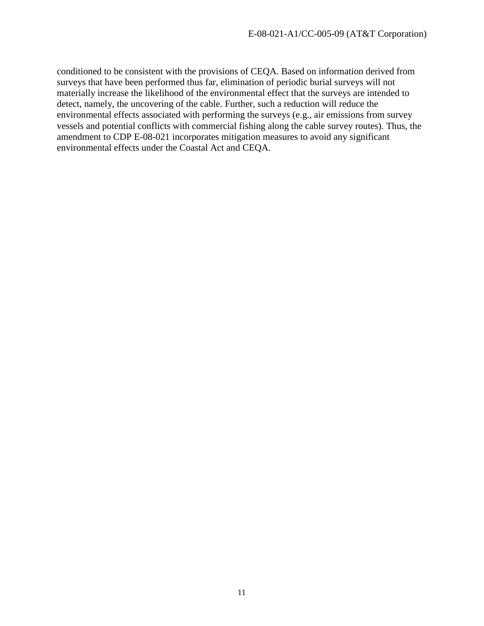conditioned to be consistent with the provisions of CEQA. Based on information derived from surveys that have been performed thus far, elimination of periodic burial surveys will not materially increase the likelihood of the environmental effect that the surveys are intended to detect, namely, the uncovering of the cable. Further, such a reduction will reduce the environmental effects associated with performing the surveys (e.g., air emissions from survey vessels and potential conflicts with commercial fishing along the cable survey routes). Thus, the amendment to CDP E-08-021 incorporates mitigation measures to avoid any significant environmental effects under the Coastal Act and CEQA.